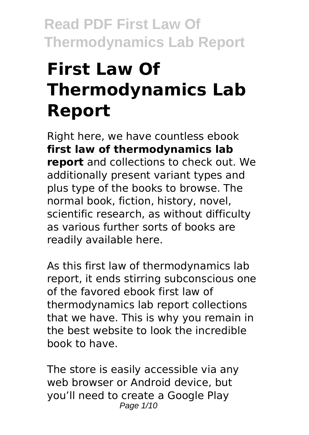# **First Law Of Thermodynamics Lab Report**

Right here, we have countless ebook **first law of thermodynamics lab report** and collections to check out. We additionally present variant types and plus type of the books to browse. The normal book, fiction, history, novel, scientific research, as without difficulty as various further sorts of books are readily available here.

As this first law of thermodynamics lab report, it ends stirring subconscious one of the favored ebook first law of thermodynamics lab report collections that we have. This is why you remain in the best website to look the incredible book to have.

The store is easily accessible via any web browser or Android device, but you'll need to create a Google Play Page 1/10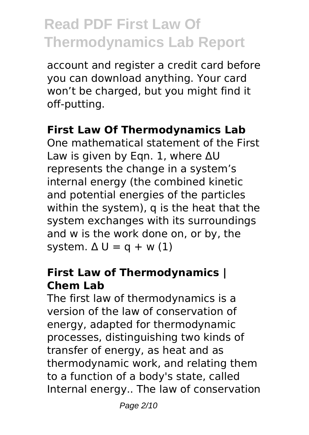account and register a credit card before you can download anything. Your card won't be charged, but you might find it off-putting.

#### **First Law Of Thermodynamics Lab**

One mathematical statement of the First Law is given by Eqn. 1, where ΔU represents the change in a system's internal energy (the combined kinetic and potential energies of the particles within the system), q is the heat that the system exchanges with its surroundings and w is the work done on, or by, the system.  $\Delta U = q + w(1)$ 

#### **First Law of Thermodynamics | Chem Lab**

The first law of thermodynamics is a version of the law of conservation of energy, adapted for thermodynamic processes, distinguishing two kinds of transfer of energy, as heat and as thermodynamic work, and relating them to a function of a body's state, called Internal energy.. The law of conservation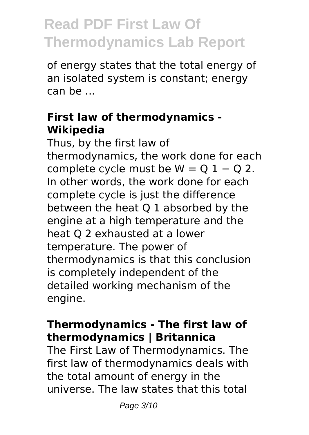of energy states that the total energy of an isolated system is constant; energy can be ...

#### **First law of thermodynamics - Wikipedia**

Thus, by the first law of thermodynamics, the work done for each complete cycle must be  $W = Q 1 - Q 2$ . In other words, the work done for each complete cycle is just the difference between the heat Q 1 absorbed by the engine at a high temperature and the heat Q 2 exhausted at a lower temperature. The power of thermodynamics is that this conclusion is completely independent of the detailed working mechanism of the engine.

#### **Thermodynamics - The first law of thermodynamics | Britannica**

The First Law of Thermodynamics. The first law of thermodynamics deals with the total amount of energy in the universe. The law states that this total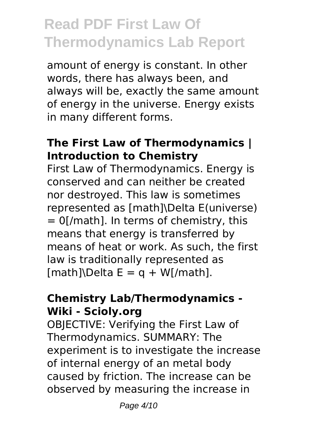amount of energy is constant. In other words, there has always been, and always will be, exactly the same amount of energy in the universe. Energy exists in many different forms.

#### **The First Law of Thermodynamics | Introduction to Chemistry**

First Law of Thermodynamics. Energy is conserved and can neither be created nor destroyed. This law is sometimes represented as [math]\Delta E(universe)  $= 0$ [/math]. In terms of chemistry, this means that energy is transferred by means of heat or work. As such, the first law is traditionally represented as  $[math]\Delta E = q + W[/math].$ 

#### **Chemistry Lab/Thermodynamics - Wiki - Scioly.org**

OBJECTIVE: Verifying the First Law of Thermodynamics. SUMMARY: The experiment is to investigate the increase of internal energy of an metal body caused by friction. The increase can be observed by measuring the increase in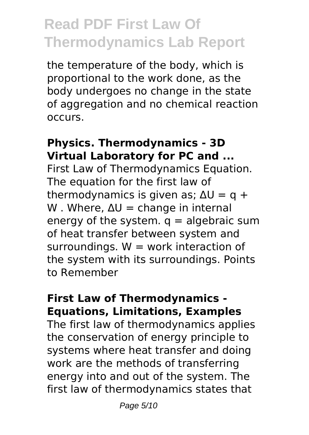the temperature of the body, which is proportional to the work done, as the body undergoes no change in the state of aggregation and no chemical reaction occurs.

#### **Physics. Thermodynamics - 3D Virtual Laboratory for PC and ...**

First Law of Thermodynamics Equation. The equation for the first law of thermodynamics is given as:  $\Delta U = g + g$ W. Where,  $\Delta U =$  change in internal energy of the system.  $q =$  algebraic sum of heat transfer between system and surroundings.  $W =$  work interaction of the system with its surroundings. Points to Remember

#### **First Law of Thermodynamics - Equations, Limitations, Examples**

The first law of thermodynamics applies the conservation of energy principle to systems where heat transfer and doing work are the methods of transferring energy into and out of the system. The first law of thermodynamics states that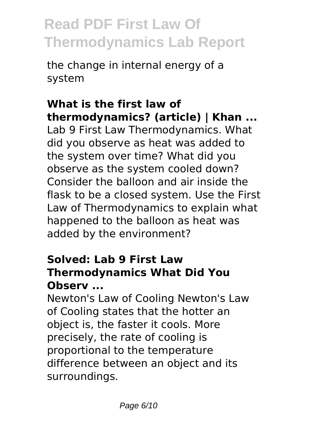the change in internal energy of a system

#### **What is the first law of thermodynamics? (article) | Khan ...**

Lab 9 First Law Thermodynamics. What did you observe as heat was added to the system over time? What did you observe as the system cooled down? Consider the balloon and air inside the flask to be a closed system. Use the First Law of Thermodynamics to explain what happened to the balloon as heat was added by the environment?

#### **Solved: Lab 9 First Law Thermodynamics What Did You Observ ...**

Newton's Law of Cooling Newton's Law of Cooling states that the hotter an object is, the faster it cools. More precisely, the rate of cooling is proportional to the temperature difference between an object and its surroundings.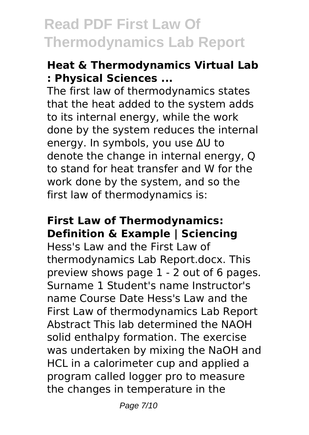#### **Heat & Thermodynamics Virtual Lab : Physical Sciences ...**

The first law of thermodynamics states that the heat added to the system adds to its internal energy, while the work done by the system reduces the internal energy. In symbols, you use ∆U to denote the change in internal energy, Q to stand for heat transfer and W for the work done by the system, and so the first law of thermodynamics is:

#### **First Law of Thermodynamics: Definition & Example | Sciencing**

Hess's Law and the First Law of thermodynamics Lab Report.docx. This preview shows page 1 - 2 out of 6 pages. Surname 1 Student's name Instructor's name Course Date Hess's Law and the First Law of thermodynamics Lab Report Abstract This lab determined the NAOH solid enthalpy formation. The exercise was undertaken by mixing the NaOH and HCL in a calorimeter cup and applied a program called logger pro to measure the changes in temperature in the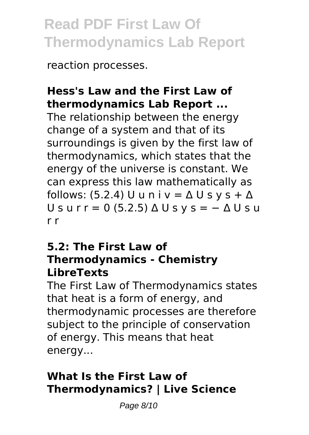reaction processes.

#### **Hess's Law and the First Law of thermodynamics Lab Report ...**

The relationship between the energy change of a system and that of its surroundings is given by the first law of thermodynamics, which states that the energy of the universe is constant. We can express this law mathematically as follows: (5.2.4) U u n i v =  $\Delta$  U s v s +  $\Delta$ U s u r r = 0 (5.2.5)  $\triangle$  U s y s =  $-\triangle$  U s u r r

#### **5.2: The First Law of Thermodynamics - Chemistry LibreTexts**

The First Law of Thermodynamics states that heat is a form of energy, and thermodynamic processes are therefore subject to the principle of conservation of energy. This means that heat energy...

#### **What Is the First Law of Thermodynamics? | Live Science**

Page 8/10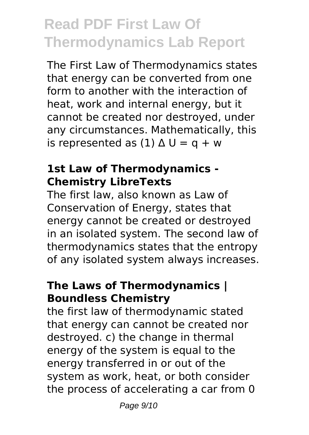The First Law of Thermodynamics states that energy can be converted from one form to another with the interaction of heat, work and internal energy, but it cannot be created nor destroyed, under any circumstances. Mathematically, this is represented as  $(1)$   $\Delta U = q + w$ 

#### **1st Law of Thermodynamics - Chemistry LibreTexts**

The first law, also known as Law of Conservation of Energy, states that energy cannot be created or destroyed in an isolated system. The second law of thermodynamics states that the entropy of any isolated system always increases.

#### **The Laws of Thermodynamics | Boundless Chemistry**

the first law of thermodynamic stated that energy can cannot be created nor destroyed. c) the change in thermal energy of the system is equal to the energy transferred in or out of the system as work, heat, or both consider the process of accelerating a car from 0